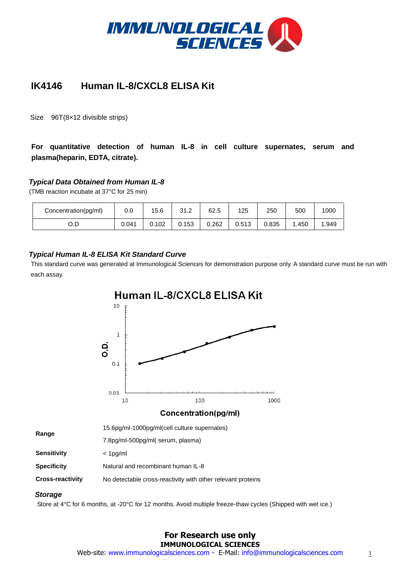

# **IK4146 Human IL-8/CXCL8 ELISA Kit**

Size 96T(8×12 divisible strips)

# **For quantitative detection of human IL-8 in cell culture supernates, serum and plasma(heparin, EDTA, citrate).**

# *Typical Data Obtained from Human IL-8*

(TMB reaction incubate at 37°C for 25 min)

**Range**

| Concentration(pg/ml) | 0.0   | 15.6  | 24.2<br>ے. ا ب | 62.5  | 125   | 250   | 500    | 1000 |
|----------------------|-------|-------|----------------|-------|-------|-------|--------|------|
| O.D                  | 0.041 | 0.102 | 0.153          | 0.262 | 0.513 | 0.835 | . .450 | .949 |

## *Typical Human IL-8 ELISA Kit Standard Curve*

 This standard curve was generated at Immunological Sciences for demonstration purpose only. A standard curve must be run with each assay.

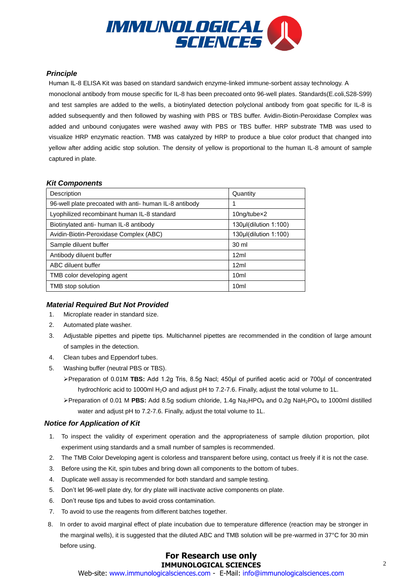

#### *Principle*

Human IL-8 ELISA Kit was based on standard sandwich enzyme-linked immune-sorbent assay technology. A monoclonal antibody from mouse specific for IL-8 has been precoated onto 96-well plates. Standards(E.coli,S28-S99) and test samples are added to the wells, a biotinylated detection polyclonal antibody from goat specific for IL-8 is added subsequently and then followed by washing with PBS or TBS buffer. Avidin-Biotin-Peroxidase Complex was added and unbound conjugates were washed away with PBS or TBS buffer. HRP substrate TMB was used to visualize HRP enzymatic reaction. TMB was catalyzed by HRP to produce a blue color product that changed into yellow after adding acidic stop solution. The density of yellow is proportional to the human IL-8 amount of sample captured in plate.

## *Kit Components*

| Description                                            | Quantity              |  |  |
|--------------------------------------------------------|-----------------------|--|--|
| 96-well plate precoated with anti- human IL-8 antibody |                       |  |  |
| Lyophilized recombinant human IL-8 standard            | 10ng/tubex2           |  |  |
| Biotinylated anti- human IL-8 antibody                 | 130µl(dilution 1:100) |  |  |
| Avidin-Biotin-Peroxidase Complex (ABC)                 | 130µl(dilution 1:100) |  |  |
| Sample diluent buffer                                  | 30 ml                 |  |  |
| Antibody diluent buffer                                | 12ml                  |  |  |
| ABC diluent buffer                                     | 12ml                  |  |  |
| TMB color developing agent                             | 10 <sub>m</sub>       |  |  |
| TMB stop solution                                      | 10 <sub>m</sub>       |  |  |

# *Material Required But Not Provided*

- 1. Microplate reader in standard size.
- 2. Automated plate washer.
- 3. Adjustable pipettes and pipette tips. Multichannel pipettes are recommended in the condition of large amount of samples in the detection.
- 4. Clean tubes and Eppendorf tubes.
- 5. Washing buffer (neutral PBS or TBS).
	- Preparation of 0.01M **TBS:** Add 1.2g Tris, 8.5g Nacl; 450μl of purified acetic acid or 700μl of concentrated hydrochloric acid to 1000ml H<sub>2</sub>O and adjust pH to 7.2-7.6. Finally, adjust the total volume to 1L.
	- Preparation of 0.01 M **PBS:** Add 8.5g sodium chloride, 1.4g Na2HPO<sup>4</sup> and 0.2g NaH2PO<sup>4</sup> to 1000ml distilled water and adjust pH to 7.2-7.6. Finally, adjust the total volume to 1L.

#### *Notice for Application of Kit*

- 1. To inspect the validity of experiment operation and the appropriateness of sample dilution proportion, pilot experiment using standards and a small number of samples is recommended.
- 2. The TMB Color Developing agent is colorless and transparent before using, contact us freely if it is not the case.
- 3. Before using the Kit, spin tubes and bring down all components to the bottom of tubes.
- 4. Duplicate well assay is recommended for both standard and sample testing.
- 5. Don't let 96-well plate dry, for dry plate will inactivate active components on plate.
- 6. Don't reuse tips and tubes to avoid cross contamination.
- 7. To avoid to use the reagents from different batches together.
- 8. In order to avoid marginal effect of plate incubation due to temperature difference (reaction may be stronger in the marginal wells), it is suggested that the diluted ABC and TMB solution will be pre-warmed in 37°C for 30 min before using.

# **For Research use only IMMUNOLOGICAL SCIENCES**

Web-site: www.immunologicalsciences.com - E-Mail: info@immunologicalsciences.com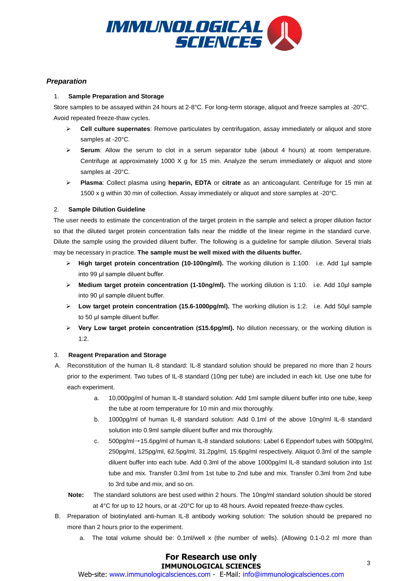

## *Preparation*

#### 1. **Sample Preparation and Storage**

Store samples to be assayed within 24 hours at 2-8°C. For long-term storage, aliquot and freeze samples at -20°C. Avoid repeated freeze-thaw cycles.

- **Cell culture supernates**: Remove particulates by centrifugation, assay immediately or aliquot and store samples at -20°C.
- **Serum**: Allow the serum to clot in a serum separator tube (about 4 hours) at room temperature. Centrifuge at approximately 1000 X g for 15 min. Analyze the serum immediately or aliquot and store samples at -20°C.
- **Plasma**: Collect plasma using **heparin, EDTA** or **citrate** as an anticoagulant. Centrifuge for 15 min at 1500 x g within 30 min of collection. Assay immediately or aliquot and store samples at -20°C.

#### 2. **Sample Dilution Guideline**

The user needs to estimate the concentration of the target protein in the sample and select a proper dilution factor so that the diluted target protein concentration falls near the middle of the linear regime in the standard curve. Dilute the sample using the provided diluent buffer. The following is a guideline for sample dilution. Several trials may be necessary in practice. **The sample must be well mixed with the diluents buffer.**

- **High target protein concentration (10-100ng/ml).** The working dilution is 1:100. i.e. Add 1μl sample into 99 μl sample diluent buffer.
- **Medium target protein concentration (1-10ng/ml).** The working dilution is 1:10. i.e. Add 10μl sample into 90 μl sample diluent buffer.
- **Low target protein concentration (15.6-1000pg/ml).** The working dilution is 1:2. i.e. Add 50μl sample to 50 μl sample diluent buffer.
- **Very Low target protein concentration (≤15.6pg/ml).** No dilution necessary, or the working dilution is 1:2.

#### 3. **Reagent Preparation and Storage**

- A. Reconstitution of the human IL-8 standard: IL-8 standard solution should be prepared no more than 2 hours prior to the experiment. Two tubes of IL-8 standard (10ng per tube) are included in each kit. Use one tube for each experiment.
	- a. 10,000pg/ml of human IL-8 standard solution: Add 1ml sample diluent buffer into one tube, keep the tube at room temperature for 10 min and mix thoroughly.
	- b. 1000pg/ml of human IL-8 standard solution: Add 0.1ml of the above 10ng/ml IL-8 standard solution into 0.9ml sample diluent buffer and mix thoroughly.
	- c. 500pg/ml→15.6pg/ml of human IL-8 standard solutions: Label 6 Eppendorf tubes with 500pg/ml, 250pg/ml, 125pg/ml, 62.5pg/ml, 31.2pg/ml, 15.6pg/ml respectively. Aliquot 0.3ml of the sample diluent buffer into each tube. Add 0.3ml of the above 1000pg/ml IL-8 standard solution into 1st tube and mix. Transfer 0.3ml from 1st tube to 2nd tube and mix. Transfer 0.3ml from 2nd tube to 3rd tube and mix, and so on.
	- **Note:** The standard solutions are best used within 2 hours. The 10ng/ml standard solution should be stored at 4°C for up to 12 hours, or at -20°C for up to 48 hours. Avoid repeated freeze-thaw cycles.
- B. Preparation of biotinylated anti-human IL-8 antibody working solution: The solution should be prepared no more than 2 hours prior to the experiment.
	- a. The total volume should be: 0.1ml/well x (the number of wells). (Allowing 0.1-0.2 ml more than

# **For Research use only IMMUNOLOGICAL SCIENCES**

EXPEDDENTILES OFFICES<br>Web-site: www.immunologicalsciences.com - E-Mail: info@immunologicalsciences.com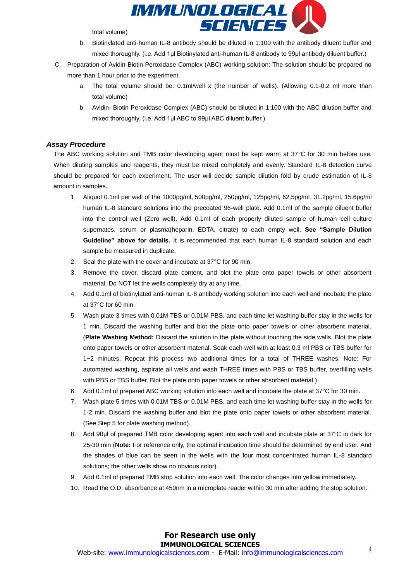

total volume)

- b. Biotinylated anti-human IL-8 antibody should be diluted in 1:100 with the antibody diluent buffer and mixed thoroughly. (i.e. Add 1μl Biotinylated anti-human IL-8 antibody to 99μl antibody diluent buffer.)
- C. Preparation of Avidin-Biotin-Peroxidase Complex (ABC) working solution: The solution should be prepared no more than 1 hour prior to the experiment.
	- a. The total volume should be: 0.1ml/well x (the number of wells). (Allowing 0.1-0.2 ml more than total volume)
	- b. Avidin- Biotin-Peroxidase Complex (ABC) should be diluted in 1:100 with the ABC dilution buffer and mixed thoroughly. (i.e. Add 1μl ABC to 99μl ABC diluent buffer.)

#### *Assay Procedure*

The ABC working solution and TMB color developing agent must be kept warm at 37°C for 30 min before use. When diluting samples and reagents, they must be mixed completely and evenly. Standard IL-8 detection curve should be prepared for each experiment. The user will decide sample dilution fold by crude estimation of IL-8 amount in samples.

- 1. Aliquot 0.1ml per well of the 1000pg/ml, 500pg/ml, 250pg/ml, 125pg/ml, 62.5pg/ml, 31.2pg/ml, 15.6pg/ml human IL-8 standard solutions into the precoated 96-well plate. Add 0.1ml of the sample diluent buffer into the control well (Zero well). Add 0.1ml of each properly diluted sample of human cell culture supernates, serum or plasma(heparin, EDTA, citrate) to each empty well. **See "Sample Dilution Guideline" above for details.** It is recommended that each human IL-8 standard solution and each sample be measured in duplicate.
- 2. Seal the plate with the cover and incubate at 37°C for 90 min.
- 3. Remove the cover, discard plate content, and blot the plate onto paper towels or other absorbent material. Do NOT let the wells completely dry at any time.
- 4. Add 0.1ml of biotinylated anti-human IL-8 antibody working solution into each well and incubate the plate at 37°C for 60 min.
- 5. Wash plate 3 times with 0.01M TBS or 0.01M PBS, and each time let washing buffer stay in the wells for 1 min. Discard the washing buffer and blot the plate onto paper towels or other absorbent material. (**Plate Washing Method:** Discard the solution in the plate without touching the side walls. Blot the plate onto paper towels or other absorbent material. Soak each well with at least 0.3 ml PBS or TBS buffer for 1~2 minutes. Repeat this process two additional times for a total of THREE washes. Note: For automated washing, aspirate all wells and wash THREE times with PBS or TBS buffer, overfilling wells with PBS or TBS buffer. Blot the plate onto paper towels or other absorbent material.)
- 6. Add 0.1ml of prepared ABC working solution into each well and incubate the plate at 37°C for 30 min.
- 7. Wash plate 5 times with 0.01M TBS or 0.01M PBS, and each time let washing buffer stay in the wells for 1-2 min. Discard the washing buffer and blot the plate onto paper towels or other absorbent material. (See Step 5 for plate washing method).
- 8. Add 90µl of prepared TMB color developing agent into each well and incubate plate at 37°C in dark for 25-30 min (**Note:** For reference only, the optimal incubation time should be determined by end user. And the shades of blue can be seen in the wells with the four most concentrated human IL-8 standard solutions; the other wells show no obvious color).
- 9. Add 0.1ml of prepared TMB stop solution into each well. The color changes into yellow immediately.
- 10. Read the O.D. absorbance at 450nm in a microplate reader within 30 min after adding the stop solution.